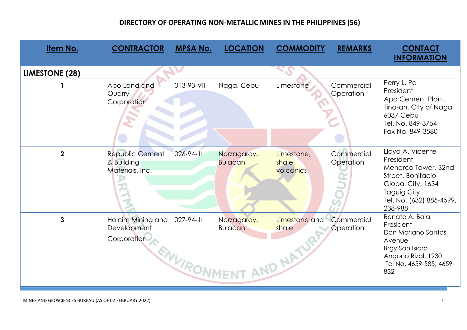| <b>Item No.</b>       | <b>CONTRACTOR</b>                                       | <b>MPSA No.</b>           | <b>LOCATION</b>               | <b>COMMODITY</b>                    | <b>REMARKS</b>          | <b>CONTACT</b>                                                                                                                                        |
|-----------------------|---------------------------------------------------------|---------------------------|-------------------------------|-------------------------------------|-------------------------|-------------------------------------------------------------------------------------------------------------------------------------------------------|
|                       |                                                         |                           |                               |                                     |                         | <b>INFORMATION</b>                                                                                                                                    |
| <b>LIMESTONE (28)</b> |                                                         |                           |                               |                                     |                         |                                                                                                                                                       |
|                       | Apo Land and<br>Quarry<br>Corporation                   | 013-93-VII                | Naga, Cebu                    | Limestone                           | Commercial<br>Operation | Perry L. Pe<br>President<br>Apo Cement Plant,<br>Tina-an, City of Naga,<br>6037 Cebu<br>Tel. No. 849-3754<br>Fax No. 849-3580                         |
| $\overline{2}$        | <b>Republic Cement</b><br>& Building<br>Materials, Inc. | 026-94-III                | Norzagaray,<br><b>Bulacan</b> | Limestone,<br>shale,<br>volcanics   | Commercial<br>Operation | Lloyd A. Vicente<br>President<br>Menarco Tower, 32nd<br>Street, Bonifacio<br>Global City, 1634<br>Taguig City<br>Tel. No. (632) 885-4599,<br>238-9881 |
| $\mathbf{3}$          | Holcim Mining and<br>Development<br>Corporation         | 027-94-III<br>ENVIRONMENT | Norzagaray,<br><b>Bulacan</b> | Limestone and<br>shale<br>AND NATUR | Commercial<br>Operation | Renato A. Baja<br>President<br>Don Mariano Santos<br>Avenue<br>Brgy San Isidro<br>Angono Rizal, 1930<br>Tel No. 4659-585; 4659-<br>832                |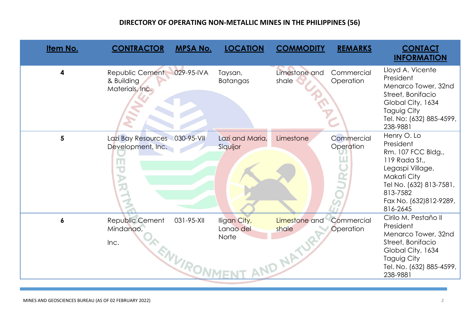| Item No.         | <b>CONTRACTOR</b>                                                                                          | <b>MPSA No.</b>        | <b>LOCATION</b>                    | <b>COMMODITY</b>                  | <b>REMARKS</b>          | <b>CONTACT</b><br><b>INFORMATION</b>                                                                                                                                            |
|------------------|------------------------------------------------------------------------------------------------------------|------------------------|------------------------------------|-----------------------------------|-------------------------|---------------------------------------------------------------------------------------------------------------------------------------------------------------------------------|
| $\boldsymbol{4}$ | Republic Cement<br>& Building<br>Materials, Inc.                                                           | 029-95-IVA             | Taysan,<br><b>Batangas</b>         | Limestone and<br>shale            | Commercial<br>Operation | Lloyd A. Vicente<br>President<br>Menarco Tower, 32nd<br>Street, Bonifacio<br>Global City, 1634<br>Taguig City<br>Tel. No: (632) 885-4599,<br>238-9881                           |
| 5                | Lazi Bay Resources 030-95-VII<br>Development, Inc.<br>Ш<br>$\overline{\mathbf{C}}$<br>$\overline{\lambda}$ |                        | Lazi and Maria,<br>Siquijor        | Limestone                         | Commercial<br>Operation | Henry O. Lo<br>President<br>Rm. 107 FCC Bldg.,<br>119 Rada St.,<br>Legaspi Village,<br>Makati City<br>Tel No. (632) 813-7581,<br>813-7582<br>Fax No. (632)812-9289,<br>816-2645 |
| $\boldsymbol{6}$ | Republic Cement<br>Mindanao,<br>Inc.                                                                       | 031-95-XII<br>ENVIRONN | Iligan City,<br>Lango del<br>Norte | Limestone and<br>shale<br>AND NAT | Commercial<br>Operation | Cirilo M. Pestaño II<br>President<br>Menarco Tower, 32nd<br>Street, Bonifacio<br>Global City, 1634<br>Taguig City<br>Tel. No. (632) 885-4599,<br>238-9881                       |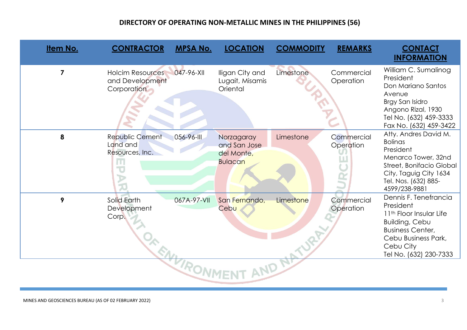| Item No.             | <b>CONTRACTOR</b>                                                                     | <b>MPSA No.</b> | <b>LOCATION</b>                                            | <b>COMMODITY</b> | <b>REMARKS</b>          | <b>CONTACT</b><br><b>INFORMATION</b>                                                                                                                                            |  |  |
|----------------------|---------------------------------------------------------------------------------------|-----------------|------------------------------------------------------------|------------------|-------------------------|---------------------------------------------------------------------------------------------------------------------------------------------------------------------------------|--|--|
| $\overline{7}$       | <b>Holcim Resources</b><br>and Development<br>Corporation                             | 047-96-XII      | Iligan City and<br>Lugait, Misamis<br>Oriental             | Limestone        | Commercial<br>Operation | William C. Sumalinog<br>President<br>Don Mariano Santos<br>Avenue<br>Brgy San Isidro<br>Angono Rizal, 1930<br>Tel No. (632) 459-3333<br>Fax No. (632) 459-3422                  |  |  |
| 8                    | <b>Republic Cement</b><br>Land and<br>Resources, Inc.<br>ш<br>$\overline{\mathbf{C}}$ | 056-96-III      | Norzagaray<br>and San Jose<br>del Monte,<br><b>Bulacan</b> | Limestone        | Commercial<br>Operation | Atty. Andres David M.<br><b>Bolinas</b><br>President<br>Menarco Tower, 32nd<br>Street, Bonifacio Global<br>City, Taguig City 1634<br>Tel. Nos. (632) 885-<br>4599/238-9881      |  |  |
| 9                    | Solid Earth<br>Development<br>Corp.                                                   | 067A-97-VII     | San Fernando,<br>Cebu                                      | Limestone        | Commercial<br>Operation | Dennis F. Tenefrancia<br>President<br>11th Floor Insular Life<br><b>Building, Cebu</b><br><b>Business Center,</b><br>Cebu Business Park,<br>Cebu City<br>Tel No. (632) 230-7333 |  |  |
| <b>TORONN'</b><br>ND |                                                                                       |                 |                                                            |                  |                         |                                                                                                                                                                                 |  |  |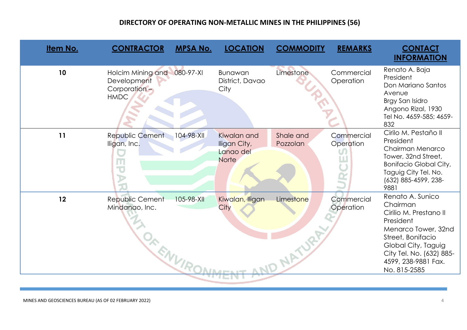| Item No. | <b>CONTRACTOR</b>                                                      | <b>MPSA No.</b> | <b>LOCATION</b>                                          | <b>COMMODITY</b>              | <b>REMARKS</b>          | <b>CONTACT</b><br><b>INFORMATION</b>                                                                                                                                                                      |
|----------|------------------------------------------------------------------------|-----------------|----------------------------------------------------------|-------------------------------|-------------------------|-----------------------------------------------------------------------------------------------------------------------------------------------------------------------------------------------------------|
| 10       | <b>Holcim Mining and</b><br>Development<br>Corporation-<br><b>HMDC</b> | 080-97-XI       | <b>Bunawan</b><br>District, Davao<br>City                | Limestone                     | Commercial<br>Operation | Renato A. Baja<br>President<br>Don Mariano Santos<br>Avenue<br>Brgy San Isidro<br>Angono Rizal, 1930<br>Tel No. 4659-585; 4659-<br>832                                                                    |
| 11       | Republic Cement<br>Iligan, Inc.<br>$\overline{\mathbf{U}}$             | 104-98-XII      | Kiwalan and<br>Iligan City,<br>Lanao del<br><b>Norte</b> | Shale and<br>Pozzolan         | Commercial<br>Operation | Cirilo M. Pestaño II<br>President<br>Chairman Menarco<br>Tower, 32nd Street,<br><b>Bonifacio Global City,</b><br>Taguig City Tel. No.<br>(632) 885-4599, 238-<br>9881                                     |
| 12       | Republic Cement<br>Mindanao, Inc.<br>OR ENVIR,                         | 105-98-XII      | Kiwalan, Iligan<br>City                                  | Limestone<br><b>VD NATURI</b> | Commercial<br>Operation | Renato A. Sunico<br>Chairman<br>Cirilio M. Prestano II<br>President<br>Menarco Tower, 32nd<br>Street, Bonifacio<br>Global City, Taguig<br>City Tel. No. (632) 885-<br>4599, 238-9881 Fax.<br>No. 815-2585 |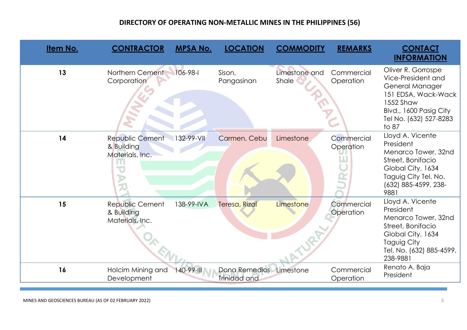| Item No. | <b>CONTRACTOR</b>                                       | <b>MPSA No.</b> | <b>LOCATION</b>               | <b>COMMODITY</b>       | <b>REMARKS</b>          | <b>CONTACT</b><br><b>INFORMATION</b>                                                                                                                         |
|----------|---------------------------------------------------------|-----------------|-------------------------------|------------------------|-------------------------|--------------------------------------------------------------------------------------------------------------------------------------------------------------|
| 13       | Northern Cement<br>Corporation                          | $106 - 98 - 1$  | Sison,<br>Pangasinan          | Limestone and<br>Shale | Commercial<br>Operation | Oliver R. Gorrospe<br>Vice-President and<br>General Manager<br>151 EDSA, Wack-Wack<br>1552 Shaw<br>Blvd., 1600 Pasig City<br>Tel No. (632) 527-8283<br>to 87 |
| 14       | <b>Republic Cement</b><br>& Building<br>Materials, Inc. | 132-99-VII      | Carmen, Cebu                  | Limestone              | Commercial<br>Operation | Lloyd A. Vicente<br>President<br>Menarco Tower, 32nd<br>Street, Bonifacio<br>Global City, 1634<br>Taguig City Tel. No.<br>(632) 885-4599, 238-<br>9881       |
| 15       | Republic Cement<br>& Building<br>Materials, Inc.        | 138-99-IVA      | Teresa, Rizal                 | Limestone              | Commercial<br>Operation | Lloyd A. Vicente<br>President<br>Menarco Tower, 32nd<br>Street, Bonifacio<br>Global City, 1634<br>Taguig City<br>Tel. No. (632) 885-4599,<br>238-9881        |
| 16       | Holcim Mining and<br>Development                        | 140-99-III      | Dona Remedios<br>Trinidad and | Limestone              | Commercial<br>Operation | Renato A. Baja<br>President                                                                                                                                  |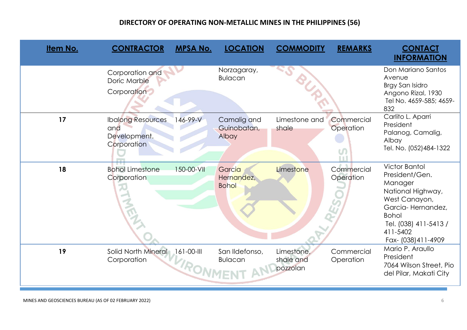| <u>Item No.</u> | <b>CONTRACTOR</b>                                              | <b>MPSA No.</b>                    | <b>LOCATION</b>                      | <b>COMMODITY</b>                    | <b>REMARKS</b>          | <b>CONTACT</b><br><b>INFORMATION</b>                                                                                                                                                     |
|-----------------|----------------------------------------------------------------|------------------------------------|--------------------------------------|-------------------------------------|-------------------------|------------------------------------------------------------------------------------------------------------------------------------------------------------------------------------------|
|                 | Corporation and<br>Doric Marble<br>Corporation                 |                                    | Norzagaray,<br><b>Bulacan</b>        | BUP                                 |                         | Don Mariano Santos<br>Avenue<br>Brgy San Isidro<br>Angono Rizal, 1930<br>Tel No. 4659-585; 4659-<br>832                                                                                  |
| 17              | <b>Ibalong Resources</b><br>and<br>Development.<br>Corporation | 146-99-V                           | Camalig and<br>Guinobatan,<br>Albay  | Limestone and<br>shale              | Commercial<br>Operation | Carlito L. Aparri<br>President<br>Palanog, Camalig,<br>Albay<br>Tel. No. (052)484-1322                                                                                                   |
| 18              | <b>Bohol Limestone</b><br>Corporation                          | 150-00-VII                         | Garcia<br>Hernandez,<br><b>Bohol</b> | Limestone                           | Commercial<br>Operation | <b>Victor Bantol</b><br>President/Gen.<br>Manager<br>National Highway,<br>West Canayon,<br>Garcia-Hernandez,<br><b>Bohol</b><br>Tel. (038) 411-5413 /<br>411-5402<br>Fax- (038) 411-4909 |
| 19              | Solid North Mineral<br>Corporation                             | $161 - 00 - 111$<br><b>IRONMEN</b> | San Ildefonso,<br><b>Bulacan</b>     | Limestone,<br>shale and<br>pozzolan | Commercial<br>Operation | Mario P. Araullo<br>President<br>7064 Wilson Street, Pio<br>del Pilar, Makati City                                                                                                       |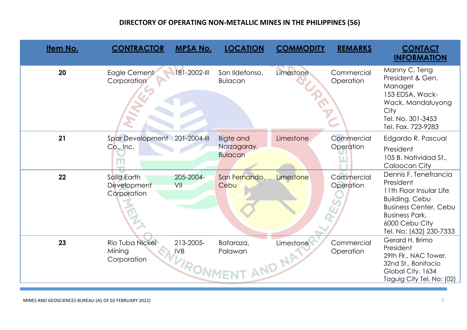| <u>Item No.</u> | <b>CONTRACTOR</b>                          | <b>MPSA No.</b>                     | <b>LOCATION</b>                            | <b>COMMODITY</b>    | <b>REMARKS</b>          | <b>CONTACT</b><br><b>INFORMATION</b>                                                                                                                                                  |
|-----------------|--------------------------------------------|-------------------------------------|--------------------------------------------|---------------------|-------------------------|---------------------------------------------------------------------------------------------------------------------------------------------------------------------------------------|
| 20              | Eagle Cement<br>Corporation                | 181-2002-III                        | San Ildefonso,<br><b>Bulacan</b>           | Limestone           | Commercial<br>Operation | Manny C. Teng<br>President & Gen.<br>Manager<br>153 EDSA, Wack-<br>Wack, Mandaluyong<br>City<br>Tel. No. 301-3453<br>Tel. Fax. 723-9283                                               |
| 21              | Spar Development 201-2004-III<br>Co., Inc. |                                     | Bigte and<br>Norzagaray,<br><b>Bulacan</b> | Limestone           | Commercial<br>Operation | Edgardo R. Pascual<br>President<br>105 B. Natividad St.,<br>Caloocan City                                                                                                             |
| 22              | Solid Earth<br>Development<br>Corporation  | 205-2004-<br>VII                    | San Fernando,<br>Cebu                      | Limestone           | Commercial<br>Operation | Dennis F. Tenefrancia<br>President<br>11th Floor Insular Life<br>Building, Cebu<br><b>Business Center, Cebu</b><br><b>Business Park,</b><br>6000 Cebu City<br>Tel. No: (632) 230-7333 |
| 23              | Rio Tuba Nickel<br>Mining<br>Corporation   | 213-2005-<br><b>IVB</b><br>VIRONME' | Bataraza,<br>Palawan                       | Limestone<br>AND NR | Commercial<br>Operation | Gerard H. Brimo<br>President<br>29th Flr., NAC Tower,<br>32nd St., Bonifacio<br>Global City, 1634<br>Taguig City Tel. No: (02)                                                        |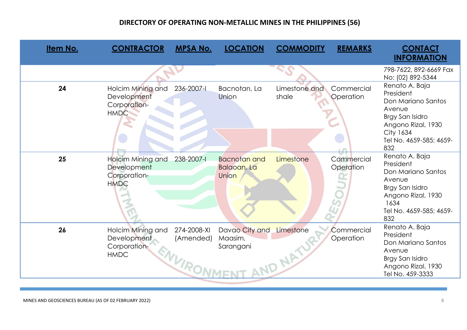| <u>Item No.</u> | <b>CONTRACTOR</b>                                                             | <b>MPSA No.</b>                       | <b>LOCATION</b>                             | <b>COMMODITY</b>       | <b>REMARKS</b>          | <b>CONTACT</b><br><b>INFORMATION</b>                                                                                                                       |
|-----------------|-------------------------------------------------------------------------------|---------------------------------------|---------------------------------------------|------------------------|-------------------------|------------------------------------------------------------------------------------------------------------------------------------------------------------|
|                 |                                                                               |                                       |                                             |                        |                         | 798-7622, 892-6669 Fax<br>No: (02) 892-5344                                                                                                                |
| 24              | Holcim Mining and<br>Development<br>Corporation-<br><b>HMDC</b>               | 236-2007-1                            | Bacnotan, La<br>Union                       | Limestone and<br>shale | Commercial<br>Operation | Renato A. Baja<br>President<br>Don Mariano Santos<br>Avenue<br>Brgy San Isidro<br>Angono Rizal, 1930<br><b>City 1634</b><br>Tel No. 4659-585; 4659-<br>832 |
| 25              | <b>Holcim Mining and</b><br><b>Development</b><br>Corporation-<br><b>HMDC</b> | 238-2007-l                            | <b>Bacnotan and</b><br>Balaoan, La<br>Union | Limestone              | Commercial<br>Operation | Renato A. Baja<br>President<br>Don Mariano Santos<br>Avenue<br>Brgy San Isidro<br>Angono Rizal, 1930<br>1634<br>Tel No. 4659-585; 4659-<br>832             |
| 26              | Holcim Mining and<br>Development<br>Corporation-<br><b>HMDC</b>               | 274-2008-XI<br>(Amended)<br>ENVIRONN' | Davao City and<br>Maasim,<br>Sarangani      | Limestone<br>AND NAT   | Commercial<br>Operation | Renato A. Baja<br>President<br>Don Mariano Santos<br>Avenue<br>Brgy San Isidro<br>Angono Rizal, 1930<br>Tel No. 459-3333                                   |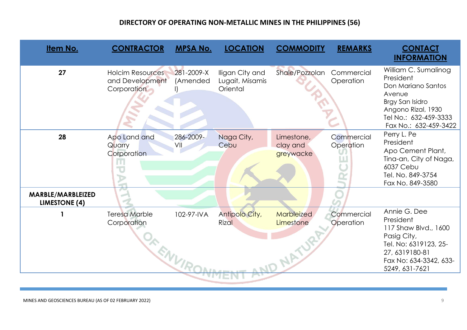| <b>Item No.</b>                           | <b>CONTRACTOR</b>                                         | <b>MPSA No.</b>        | <b>LOCATION</b>                                | <b>COMMODITY</b>                           | <b>REMARKS</b>          | <b>CONTACT</b><br><b>INFORMATION</b>                                                                                                                         |
|-------------------------------------------|-----------------------------------------------------------|------------------------|------------------------------------------------|--------------------------------------------|-------------------------|--------------------------------------------------------------------------------------------------------------------------------------------------------------|
| 27                                        | <b>Holcim Resources</b><br>and Development<br>Corporation | 281-2009-X<br>(Amended | Iligan City and<br>Lugait, Misamis<br>Oriental | Shale/Pozzolan                             | Commercial<br>Operation | William C. Sumalinog<br>President<br>Don Mariano Santos<br>Avenue<br>Brgy San Isidro<br>Angono Rizal, 1930<br>Tel No.: 632-459-3333<br>Fax No.: 632-459-3422 |
| 28                                        | Apo Land and<br>Quarry<br>Corporation                     | 286-2009-<br>VII       | Naga City,<br>Cebu                             | Limestone,<br>clay and<br>greywacke        | Commercial<br>Operation | Perry L. Pe<br>President<br>Apo Cement Plant,<br>Tina-an, City of Naga,<br>6037 Cebu<br>Tel. No. 849-3754<br>Fax No. 849-3580                                |
| MARBLE/MARBLEIZED<br><b>LIMESTONE (4)</b> |                                                           |                        |                                                |                                            |                         |                                                                                                                                                              |
|                                           | <b>Teresa Marble</b><br>Corporation<br>JA ENVIR,          | 102-97-IVA             | Antipolo City,<br><b>Rizal</b>                 | <b>Marbleized</b><br>Limestone<br>ND NATUR | Commercial<br>Operation | Annie G. Dee<br>President<br>117 Shaw Blvd., 1600<br>Pasig City,<br>Tel. No: 6319123, 25-<br>27, 6319180-81<br>Fax No: 634-3342, 633-<br>5249, 631-7621      |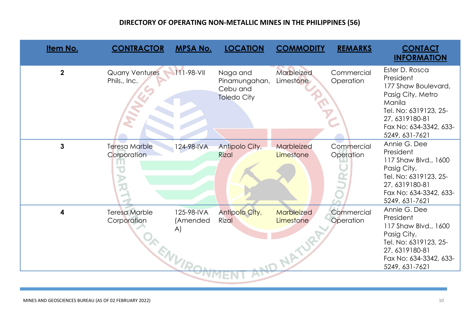| Item No.                | <b>CONTRACTOR</b>                        | <b>MPSA No.</b>                        | <b>LOCATION</b>                                             | <b>COMMODITY</b>                            | <b>REMARKS</b>          | <b>CONTACT</b><br><b>INFORMATION</b>                                                                                                                                     |
|-------------------------|------------------------------------------|----------------------------------------|-------------------------------------------------------------|---------------------------------------------|-------------------------|--------------------------------------------------------------------------------------------------------------------------------------------------------------------------|
| $\overline{\mathbf{2}}$ | <b>Quarry Ventures</b><br>Phils., Inc.   | $111 - 98 - 11$                        | Naga and<br>Pinamungahan,<br>Cebu and<br><b>Toledo City</b> | Marbleized<br>Limestone                     | Commercial<br>Operation | Ester D. Rosca<br>President<br>177 Shaw Boulevard,<br>Pasig City, Metro<br>Manila<br>Tel. No: 6319123, 25-<br>27, 6319180-81<br>Fax No: 634-3342, 633-<br>5249, 631-7621 |
| 3                       | <b>Teresa Marble</b><br>Corporation<br>文 | 124-98-IVA                             | Antipolo City,<br><b>Rizal</b>                              | Marbleized<br>Limestone                     | Commercial<br>Operation | Annie G. Dee<br>President<br>117 Shaw Blvd., 1600<br>Pasig City,<br>Tel. No: 6319123, 25-<br>27, 6319180-81<br>Fax No: 634-3342, 633-<br>5249, 631-7621                  |
| 4                       | <b>Teresa Marble</b><br>Corporation      | 125-98-IVA<br>(Amended<br>A)<br>ENVIRC | Antipolo City,<br><b>Rizal</b>                              | Marbleized<br>Limestone<br><b>JD NATURI</b> | Commercial<br>Operation | Annie G. Dee<br>President<br>117 Shaw Blvd., 1600<br>Pasig City,<br>Tel. No: 6319123, 25-<br>27, 6319180-81<br>Fax No: 634-3342, 633-<br>5249, 631-7621                  |
|                         |                                          |                                        |                                                             |                                             |                         |                                                                                                                                                                          |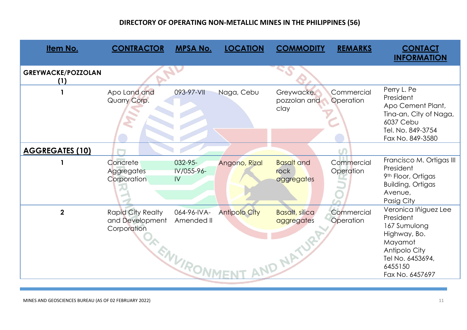| Item No.                         | <b>CONTRACTOR</b>                                          | <b>MPSA No.</b>                         | <b>LOCATION</b>      | <b>COMMODITY</b>                                   | <b>REMARKS</b>          | <b>CONTACT</b><br><b>INFORMATION</b>                                                                                                            |
|----------------------------------|------------------------------------------------------------|-----------------------------------------|----------------------|----------------------------------------------------|-------------------------|-------------------------------------------------------------------------------------------------------------------------------------------------|
| <b>GREYWACKE/POZZOLAN</b><br>(1) |                                                            |                                         |                      |                                                    |                         |                                                                                                                                                 |
|                                  | Apo Land and<br>Quarry Corp.                               | 093-97-VII                              | Naga, Cebu           | Greywacke,<br>pozzolan and<br>clay                 | Commercial<br>Operation | Perry L. Pe<br>President<br>Apo Cement Plant,<br>Tina-an, City of Naga,<br>6037 Cebu<br>Tel. No. 849-3754<br>Fax No. 849-3580                   |
| <b>AGGREGATES (10)</b>           |                                                            |                                         |                      |                                                    |                         |                                                                                                                                                 |
|                                  | Concrete<br>Aggregates<br>Corporation                      | $032 - 95 -$<br>IV/055-96-<br>IV        | Angono, Rizal        | <b>Basalt</b> and<br>rock<br>aggregates            | Commercial<br>Operation | Francisco M. Ortigas III<br>President<br>9th Floor, Ortigas<br><b>Building, Ortigas</b><br>Avenue,<br>Pasig City                                |
| $\overline{2}$                   | <b>Rapid City Realty</b><br>and Development<br>Corporation | 064-96-IVA-<br>Amended II<br>ENVIRONMEY | <b>Antipolo City</b> | <b>Basalt</b> , silica<br>aggregates<br>AND NATURI | Commercial<br>Operation | Veronica Iñiguez Lee<br>President<br>167 Sumulong<br>Highway, Bo.<br>Mayamot<br>Antipolo City<br>Tel No. 6453694,<br>6455150<br>Fax No. 6457697 |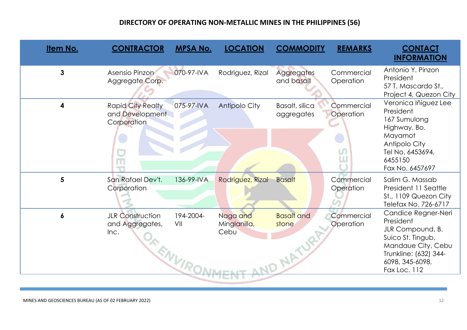| Item No.     | <b>CONTRACTOR</b>                                                  | <b>MPSA No.</b>  | <b>LOCATION</b>                  | <b>COMMODITY</b>                        | <b>REMARKS</b>          | <b>CONTACT</b><br><b>INFORMATION</b>                                                                                                                        |
|--------------|--------------------------------------------------------------------|------------------|----------------------------------|-----------------------------------------|-------------------------|-------------------------------------------------------------------------------------------------------------------------------------------------------------|
| $\mathbf{3}$ | Asensio Pinzon<br>Aggregate Corp.                                  | 070-97-IVA       | Rodriguez, Rizal                 | <b>Aggregates</b><br>and basalt         | Commercial<br>Operation | Antonio Y. Pinzon<br>President<br>57 T. Mascardo St.,<br>Project 4, Quezon City                                                                             |
| 4            | <b>Rapid City Realty</b><br>and Development<br>Corporation<br>m    | 075-97-IVA       | <b>Antipolo City</b>             | Basalt, silica<br>aggregates            | Commercial<br>Operation | Veronica Iñiguez Lee<br>President<br>167 Sumulong<br>Highway, Bo.<br>Mayamot<br>Antipolo City<br>Tel No. 6453694,<br>6455150<br>Fax No. 6457697             |
| 5            | San Rafael Dev't.<br>Corporation                                   | 136-99-IVA       | Rodriguez, Rizal                 | <b>Basalt</b>                           | Commercial<br>Operation | Salim G. Massab<br>President 11 Seattle<br>St., 1109 Quezon City<br>Telefax No. 726-6717                                                                    |
| 6            | <b>JLR Construction</b><br>and Aggregates,<br>Inc.<br><b>ENVIR</b> | 194-2004-<br>VII | Naga and<br>Minglanilla,<br>Cebu | <b>Basalt</b> and<br>stone<br>ND NATURA | Commercial<br>Operation | Candice Regner-Neri<br>President<br>JLR Compound, B.<br>Suico St. Tingub,<br>Mandaue City, Cebu<br>Trunkline: (632) 344-<br>6098, 345-6098,<br>Fax Loc. 112 |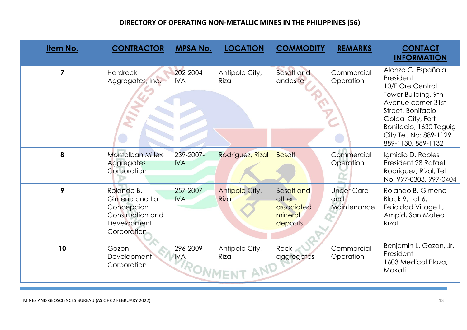| Item No.       | <b>CONTRACTOR</b>                                                                           | <b>MPSA No.</b>                          | <b>LOCATION</b>                | <b>COMMODITY</b>                                                | <b>REMARKS</b>                          | <b>CONTACT</b><br><b>INFORMATION</b>                                                                                                                                                                                  |
|----------------|---------------------------------------------------------------------------------------------|------------------------------------------|--------------------------------|-----------------------------------------------------------------|-----------------------------------------|-----------------------------------------------------------------------------------------------------------------------------------------------------------------------------------------------------------------------|
| $\overline{7}$ | <b>Hardrock</b><br>Aggregates, Inc.                                                         | 202-2004-<br><b>IVA</b>                  | Antipolo City,<br>Rizal        | <b>Basalt</b> and<br>andesite                                   | Commercial<br>Operation                 | Alonzo C. Española<br>President<br>10/F Ore Central<br>Tower Building, 9th<br>Avenue corner 31st<br>Street, Bonifacio<br>Golbal City, Fort<br>Bonifacio, 1630 Taguig<br>City Tel. No: 889-1129,<br>889-1130, 889-1132 |
| 8              | <b>Montalban Millex</b><br>Aggregates<br>Corporation                                        | 239-2007-<br><b>IVA</b>                  | Rodriguez, Rizal               | <b>Basalt</b>                                                   | Commercial<br>Operation                 | Igmidio D. Robles<br>President 28 Rafael<br>Rodriguez, Rizal, Tel<br>No. 997-0303, 997-0404                                                                                                                           |
| 9              | Rolando B.<br>Gimeno and La<br>Concepcion<br>Construction and<br>Development<br>Corporation | 257-2007-<br><b>IVA</b>                  | Antipolo City,<br><b>Rizal</b> | <b>Basalt and</b><br>other<br>associated<br>mineral<br>deposits | <b>Under Care</b><br>and<br>Maintenance | Rolando B. Gimeno<br>Block 9, Lot 6,<br>Felicidad Village II,<br>Ampid, San Mateo<br>Rizal                                                                                                                            |
| 10             | Gozon<br>Development<br>Corporation                                                         | 296-2009-<br><b>IVA</b><br><b>RONME'</b> | Antipolo City,<br>Rizal        | <b>Rock</b><br>aggregates                                       | Commercial<br>Operation                 | Benjamin L. Gozon, Jr.<br>President<br>1603 Medical Plaza,<br>Makati                                                                                                                                                  |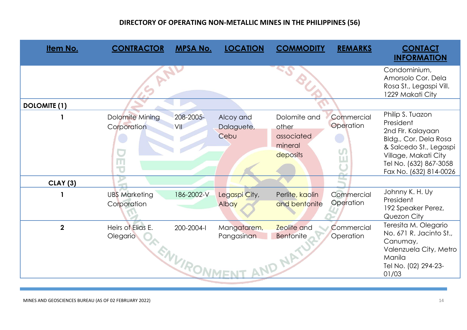| <b>Item No.</b>     | <b>CONTRACTOR</b>                                              | <b>MPSA No.</b>          | <b>LOCATION</b>                 | <b>COMMODITY</b>                                           | <b>REMARKS</b>                    | <b>CONTACT</b><br><b>INFORMATION</b>                                                                                                                                              |
|---------------------|----------------------------------------------------------------|--------------------------|---------------------------------|------------------------------------------------------------|-----------------------------------|-----------------------------------------------------------------------------------------------------------------------------------------------------------------------------------|
|                     |                                                                |                          |                                 |                                                            |                                   | Condominium,<br>Amorsolo Cor. Dela<br>Rosa St., Legaspi Vill.<br>1229 Makati City                                                                                                 |
| <b>DOLOMITE (1)</b> |                                                                |                          |                                 |                                                            |                                   |                                                                                                                                                                                   |
|                     | Dolomite Mining<br>Corporation<br>m<br>$\overline{\mathbf{u}}$ | 208-2005-<br>VII         | Alcoy and<br>Dalaguete,<br>Cebu | Dolomite and<br>other<br>associated<br>mineral<br>deposits | Commercial<br>Operation<br>Martin | Philip S. Tuazon<br>President<br>2nd Flr. Kalayaan<br>Bldg., Cor. Dela Rosa<br>& Salcedo St., Legaspi<br>Village, Makati City<br>Tel No. (632) 867-3058<br>Fax No. (632) 814-0026 |
| <b>CLAY</b> (3)     |                                                                |                          |                                 |                                                            |                                   | Johnny K. H. Uy                                                                                                                                                                   |
|                     | <b>UBS Marketing</b><br>Corporation                            | 186-2002-V               | Legaspi City,<br>Albay          | Perlite, kaolin<br>and bentonite                           | Commercial<br>Operation           | President<br>192 Speaker Perez,<br>Quezon City                                                                                                                                    |
| $\overline{2}$      | Heirs of Elias E.<br>Olegario                                  | 200-2004-l<br>ENVIRONME' | Mangatarem,<br>Pangasinan       | <b>Zeolite</b> and<br><b>Bentonite</b><br>AND NAT          | Commercial<br>Operation           | Teresita M. Olegario<br>No. 671 R. Jacinto St.,<br>Canumay,<br>Valenzuela City, Metro<br>Manila<br>Tel No. (02) 294-23-<br>01/03                                                  |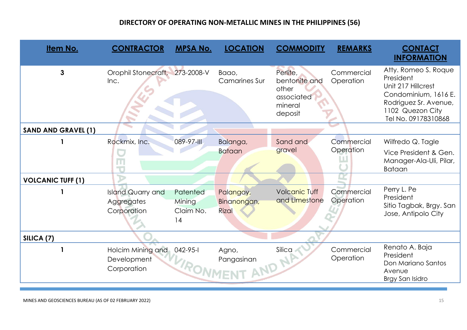| Item No.                   | <b>CONTRACTOR</b>                                     | <b>MPSA No.</b>                       | <b>LOCATION</b>                          | <b>COMMODITY</b>                                                       | <b>REMARKS</b>          | <b>CONTACT</b><br><b>INFORMATION</b>                                                                                                                |
|----------------------------|-------------------------------------------------------|---------------------------------------|------------------------------------------|------------------------------------------------------------------------|-------------------------|-----------------------------------------------------------------------------------------------------------------------------------------------------|
| $\mathbf{3}$               | Orophil Stonecraft,<br>Inc.                           | 273-2008-V                            | Baao,<br><b>Camarines Sur</b>            | Perlite,<br>bentonite and<br>other<br>associated<br>mineral<br>deposit | Commercial<br>Operation | Atty. Romeo S. Roque<br>President<br>Unit 217 Hillcrest<br>Condominium, 1616 E.<br>Rodriguez Sr. Avenue,<br>1102 Quezon City<br>Tel No. 09178310868 |
| <b>SAND AND GRAVEL (1)</b> |                                                       |                                       |                                          |                                                                        |                         |                                                                                                                                                     |
|                            | Rockmix, Inc.                                         | 089-97-III                            | Balanga,<br><b>Bataan</b>                | Sand and<br>gravel                                                     | Commercial<br>Operation | Wilfredo Q. Tagle<br>Vice President & Gen.<br>Manager-Ala-Uli, Pilar,<br><b>Bataan</b>                                                              |
| <b>VOLCANIC TUFF (1)</b>   |                                                       |                                       |                                          |                                                                        |                         |                                                                                                                                                     |
|                            | <b>Island Quarry and</b><br>Aggregates<br>Corporation | Patented<br>Mining<br>Claim No.<br>14 | Palangoy,<br>Binanongan,<br><b>Rizal</b> | <b>Volcanic Tuff</b><br>and Limestone                                  | Commercial<br>Operation | Perry L. Pe<br>President<br>Sitio Tagbak, Brgy. San<br>Jose, Antipolo City                                                                          |
| SILICA <sub>(7)</sub>      |                                                       |                                       |                                          |                                                                        |                         |                                                                                                                                                     |
|                            | Holcim Mining and<br>Development<br>Corporation       | 042-95-1                              | Agno,<br>TRONMENT AND N                  | Silica                                                                 | Commercial<br>Operation | Renato A. Baja<br>President<br>Don Mariano Santos<br>Avenue<br>Brgy San Isidro                                                                      |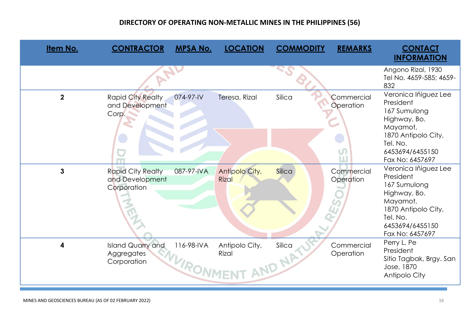| Item No.    | <b>CONTRACTOR</b>                                          | <b>MPSA No.</b>        | <b>LOCATION</b>         | <b>COMMODITY</b> | <b>REMARKS</b>                    | <b>CONTACT</b><br><b>INFORMATION</b>                                                                                                                   |
|-------------|------------------------------------------------------------|------------------------|-------------------------|------------------|-----------------------------------|--------------------------------------------------------------------------------------------------------------------------------------------------------|
|             |                                                            |                        |                         |                  |                                   | Angono Rizal, 1930<br>Tel No. 4659-585; 4659-<br>832                                                                                                   |
| $\mathbf 2$ | <b>Rapid City Realty</b><br>and Development<br>Corp.       | 074-97-IV              | Teresa, Rizal           | Silica           | Commercial<br>Operation<br>$\cup$ | Veronica Iñiguez Lee<br>President<br>167 Sumulong<br>Highway, Bo.<br>Mayamot,<br>1870 Antipolo City,<br>Tel. No.<br>6453694/6455150<br>Fax No: 6457697 |
| 3           | <b>Rapid City Realty</b><br>and Development<br>Corporation | 087-97-IVA             | Antipolo City,<br>Rizal | Silica           | Commercial<br>Operation           | Veronica Iñiguez Lee<br>President<br>167 Sumulong<br>Highway, Bo.<br>Mayamot,<br>1870 Antipolo City,<br>Tel. No.<br>6453694/6455150<br>Fax No: 6457697 |
| 4           | Island Quarry and<br>Aggregates<br>Corporation             | 116-98-IVA<br>WIRONMEY | Antipolo City,<br>Rizal | Silica<br>AND NA | Commercial<br>Operation           | Perry L. Pe<br>President<br>Sitio Tagbak, Brgy. San<br>Jose, 1870<br>Antipolo City                                                                     |